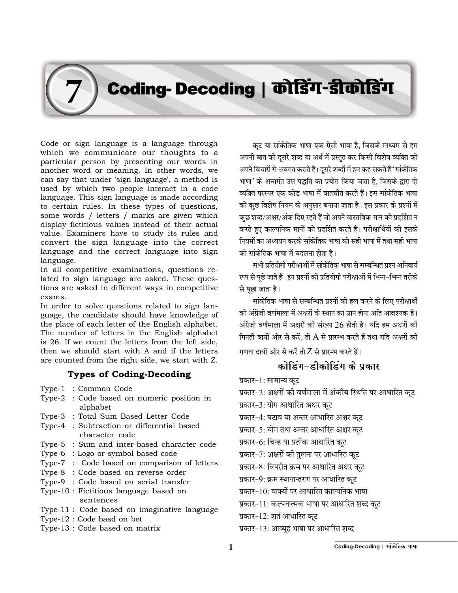## Coding- Decoding | कोडिंग-डीकोडिंग

Code or sign language is a language through which we communicate our thoughts to a particular person by presenting our words in another word or meaning. In other words, we can say that under 'sign language', a method is used by which two people interact in a code language. This sign language is made according to certain rules. In these types of questions, some words / letters / marks are given which display fictitious values instead of their actual value. Examiners have to study its rules and convert the sign language into the correct language and the correct language into sign language.

In all competitive examinations, questions related to sign language are asked. These questions are asked in different ways in competitive exams.

In order to solve questions related to sign language, the candidate should have knowledge of the place of each letter of the English alphabet. The number of letters in the English alphabet is 26. If we count the letters from the left side, then we should start with A and if the letters are counted from the right side, we start with Z.

## Types of Coding-Decoding

Type-1 : Common Code

**7**

- Type-2 : Code based on numeric position in alphabet
- Type-3 : Total Sum Based Letter Code
- Type-4 : Subtraction or differential based character code
- Type-5 : Sum and inter-based character code
- Type-6 : Logo or symbol based code
- Type-7 : Code based on comparison of letters
- Type-8 : Code based on reverse order
- Type-9 : Code based on serial transfer
- Type-10 : Fictitious language based on sentences
- Type-11 : Code based on imaginative language
- Type-12 : Code basd on bet
- Type-13 : Code based on matrix

कट या सांकेतिक भाषा एक ऐसी भाषा है. जिसके माध्यम से हम अपनी बात को दूसरे शब्द या अर्थ में प्रस्तुत कर किसी विशेष व्यक्ति को अपने विचारों से अवगत कराते हैं। दूसरे शब्दों में हम कह सकते हैं 'सांकेतिक भाषा' के अन्तर्गत उस पद्धति का प्रयोग किया जाता है. जिसके द्वारा दो व्यक्ति परस्पर एक कोड भाषा में बातचीत करते हैं। इस सांकेतिक भाषा को कुछ विशेष नियम के अनुसार बनाया जाता है। इस प्रकार के प्रश्नों में कुछ शब्द/अक्षर/अंक दिए रहते हैं जो अपने वास्तविक मान को प्रदर्शित न करते हुए काल्पनिक मानों को प्रदर्शित करते हैं। परीक्षार्थियों को इसके नियमों का अध्ययन करके सांकेतिक भाषा को सही भाषा में तथा सही भाषा को सांकेतिक भाषा में बदलना होता है।

सभी प्रतियोगी परीक्षाओं में सांकेतिक भाषा से सम्बन्धित प्रश्न अनिवार्य रूप से पूछे जाते हैं। इन प्रश्नों को प्रतियोगी परीक्षाओं में भिन्न-भिन्न तरीके से पछा जाता है।

सांकेतिक भाषा से सम्बन्धित प्रश्नों को हल करने के लिए परीक्षार्थी को अंग्रेजी वर्णमाला में अक्षरों के स्थान का ज्ञान होना अति आवश्यक है। अंग्रेजी वर्णमाला में अक्षरों की संख्या  $26$  होती है। यदि हम अक्षरों की गिनती बायीं ओर से करें. तो  $A$  से प्रारम्भ करते हैं तथा यदि अक्षरों की

गणना दायीं ओर से करें तो Z से प्रारम्भ करते हैं।

## कोडिंग-डीकोडिंग के प्रकार

प्रकार-1: सामान्य कट

प्रकार-2: अक्षरों की वर्णमाला में अंकीय स्थिति पर आधारित कट प्रकार-3: योग आधारित अक्षर कुट

- प्रकार-4: घटाव या अन्तर आधारित अक्षर कट
- प्रकार-5: योग तथा अन्तर आधारित अक्षर कट
- प्रकार-6: चिन्ह या प्रतीक आधारित कुट
- प्रकार-7: अक्षरों की तुलना पर आधारित कुट
- प्रकार-8: विपरीत क्रम पर आधारित अक्षर कूट
- प्रकार-9: क्रम स्थानान्तरण पर आधारित कूट
- प्रकार–10: वाक्यों पर आधारित काल्पनिक भाषा
- 
- प्रकार-11: कल्पनात्मक भाषा पर आधारित शब्द कुट
- प्रकार-12: शर्त आधारित कट
- प्रकार-13: आव्युह भाषा पर आधारित शब्द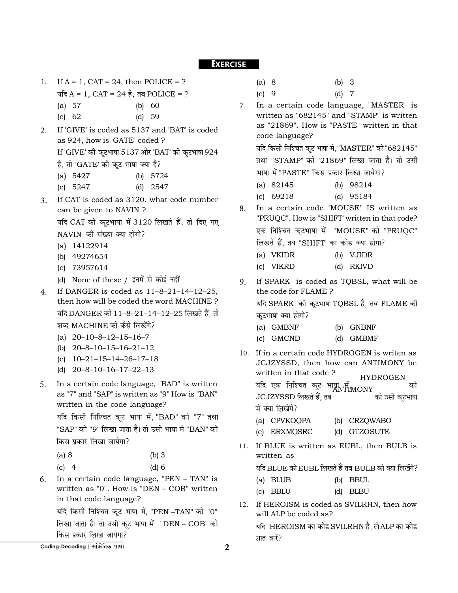## **EXERCISE**

- 1. If  $A = 1$ ,  $CAT = 24$ , then POLICE = ? यदि  $A = 1$ ,  $CAT = 24$  है, तब POLICE = ?
	- (a) 57 (b) 60
	- (c) 62 (d) 59
- 2. If 'GIVE' is coded as 5137 and 'BAT' is coded as 924, how is 'GATE' coded ? If 'GIVE' की कूटभाषा 5137 और 'BAT' की कूटभाषा 924
	- है, तो 'GATE' की कूट भाषा क्या है?

| (a) $5427$ | (b) $5724$ |
|------------|------------|
| (c) $5247$ | (d) $2547$ |

- 3. If CAT is coded as 3120, what code number can be given to NAVIN ? यदि CAT को कूटभाषा में 3120 लिखते हैं, तो दिए गए NAVIN की संख्या क्या होगी?
	- (a) 14122914
	- (b) 49274654
	- (c) 73957614
	- (d) None of these /
- 4. If DANGER is coded as 11–8–21–14–12–25, then how will be coded the word MACHINE ? यदि DANGER को 11-8-21-14-12-25 लिखते हैं, तो शब्द MACHINE को कैसे लिखेंगे?
	- (a) 20–10–8–12–15–16–7
	- (b) 20–8–10–15–16–21–12
	- (c) 10–21–15–14–26–17–18
	- (d) 20–8–10–16–17–22–13
- 5. In a certain code language, "BAD" is written as "7" and "SAP" is written as "9" How is "BAN" written in the code language?

यदि किसी निश्चित कुट भाषा में, "BAD" को "7" तथा "SAP" को "9" लिखा जाता है। तो उसी भाषा में "BAN" को किस प्रकार लिखा जायेगा?

| (a) 8   | $(b)$ 3 |
|---------|---------|
| $(c)$ 4 | $(d)$ 6 |

6. In a certain code language, "PEN – TAN" is written as "0". How is "DEN – COB" written in that code language?

यदि किसी निश्चित कूट भाषा में, "PEN -TAN" को "0" लिखा जाता है। तो उसी कूट भाषा में "DEN - COB" को किस प्रकार लिखा जायेगा?

| (a) 8                       | (b) 3   |  |
|-----------------------------|---------|--|
| $\left( \text{c} \right)$ 9 | $(d)$ 7 |  |

7. In a certain code language, "MASTER" is written as "682145" and "STAMP" is written as "21869". How is "PASTE" written in that code language?

यदि किसी निश्चित कूट भाषा में, "MASTER" को "682145" तथा "STAMP" को "21869" लिखा जाता है। तो उसी भाषा में "PASTE" किस प्रकार लिखा जायेगा?

(a) 82145 (b) 98214

(c) 69218 (d) 95184

- 8. In a certain code "MOUSE" IS written as "PRUQC". How is "SHIFT' written in that code? एक निश्चित कूटभाषा में "MOUSE" को "PRUQC" लिखते हैं, तब "SHIFT' का कोड क्या होगा?
	- (a) VKIDR (b) VJIDR
	- (c) VIKRD (d) RKIVD
- 9. If SPARK is coded as TQBSL, what will be the code for FLAME ? यदि SPARK की कूटभाषा TQBSL है, तब FLAME की

कूटभाषा क्या होगी?

- (a) GMBNF (b) GNBNF
- (c) GMCND (d) GMBMF
- 10. If in a certain code HYDROGEN is writen as JCJZYSSD, then how can ANTIMONY be written in that code ? HYDROGEN यदि एक निश्चित कूट भाषा में स्वर्ग्ट्यालिकों को अन्नी को पर पानी को पर पानी को उसी कटभाषा<br>JCJZYSSD लिखते हैं, तब JCJZYSSD में क्या लिखेंगे?
	- (a) CPVKOQPA (b) CRZQWABO
	- (c) ERXMQSRC (d) GTZOSUTE
- 11. If BLUE is written as EUBL, then BULB is written as : BLUE को EUBL लिखते हैं तब BULB र
	- (b) BBUL (a) BLUB
	- (c) BBLU (d) BLBU
- 12. If HEROISM is coded as SVILRHN, then how will ALP be coded as?

यदि HEROISM का कोड SVILRHN है. तो ALP का कोड ज्ञात करें?

**Coding-Decoding | सांकेतिक भाषा** 2